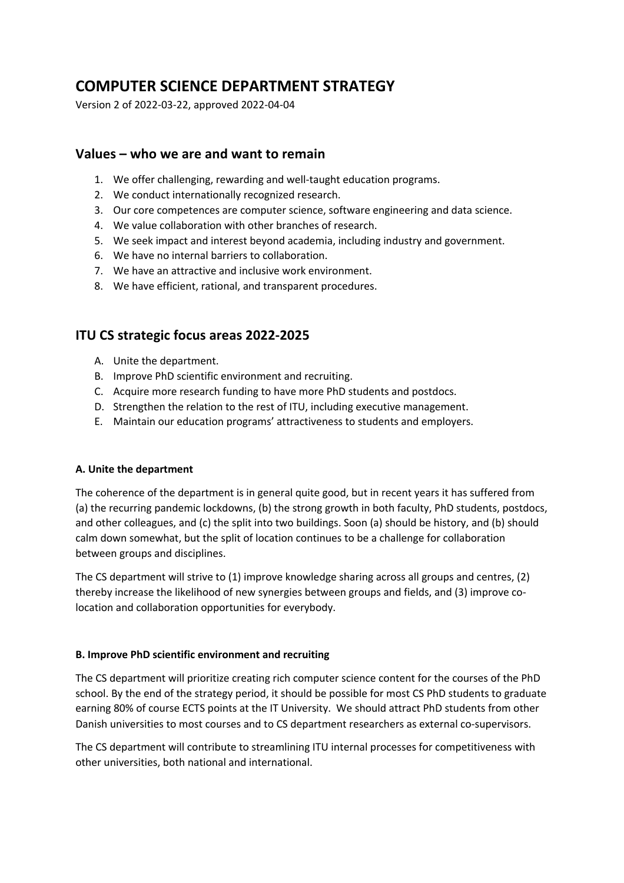# **COMPUTER SCIENCE DEPARTMENT STRATEGY**

Version 2 of 2022-03-22, approved 2022-04-04

## **Values – who we are and want to remain**

- 1. We offer challenging, rewarding and well-taught education programs.
- 2. We conduct internationally recognized research.
- 3. Our core competences are computer science, software engineering and data science.
- 4. We value collaboration with other branches of research.
- 5. We seek impact and interest beyond academia, including industry and government.
- 6. We have no internal barriers to collaboration.
- 7. We have an attractive and inclusive work environment.
- 8. We have efficient, rational, and transparent procedures.

## **ITU CS strategic focus areas 2022-2025**

- A. Unite the department.
- B. Improve PhD scientific environment and recruiting.
- C. Acquire more research funding to have more PhD students and postdocs.
- D. Strengthen the relation to the rest of ITU, including executive management.
- E. Maintain our education programs' attractiveness to students and employers.

#### **A. Unite the department**

The coherence of the department is in general quite good, but in recent years it has suffered from (a) the recurring pandemic lockdowns, (b) the strong growth in both faculty, PhD students, postdocs, and other colleagues, and (c) the split into two buildings. Soon (a) should be history, and (b) should calm down somewhat, but the split of location continues to be a challenge for collaboration between groups and disciplines.

The CS department will strive to (1) improve knowledge sharing across all groups and centres, (2) thereby increase the likelihood of new synergies between groups and fields, and (3) improve colocation and collaboration opportunities for everybody.

#### **B. Improve PhD scientific environment and recruiting**

The CS department will prioritize creating rich computer science content for the courses of the PhD school. By the end of the strategy period, it should be possible for most CS PhD students to graduate earning 80% of course ECTS points at the IT University. We should attract PhD students from other Danish universities to most courses and to CS department researchers as external co-supervisors.

The CS department will contribute to streamlining ITU internal processes for competitiveness with other universities, both national and international.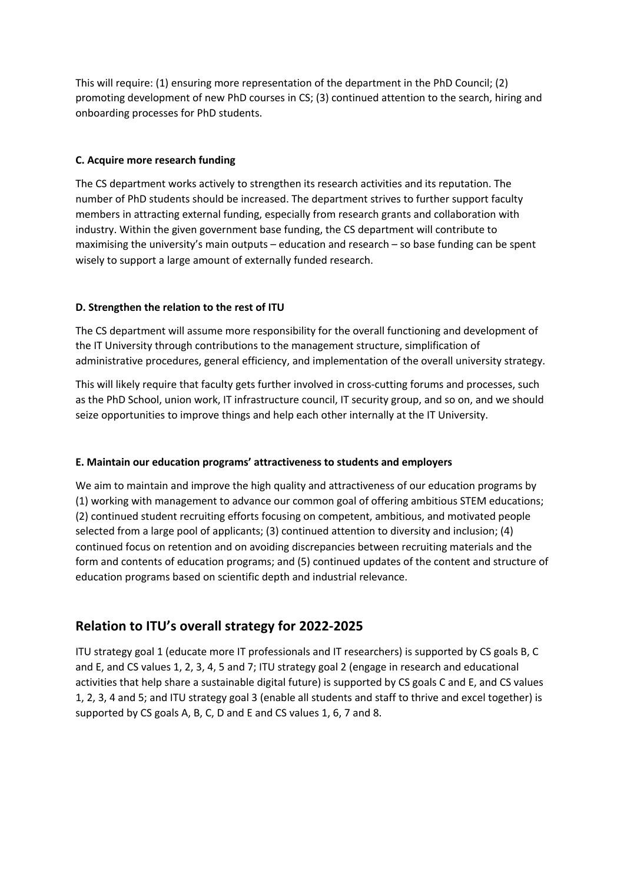This will require: (1) ensuring more representation of the department in the PhD Council; (2) promoting development of new PhD courses in CS; (3) continued attention to the search, hiring and onboarding processes for PhD students.

#### **C. Acquire more research funding**

The CS department works actively to strengthen its research activities and its reputation. The number of PhD students should be increased. The department strives to further support faculty members in attracting external funding, especially from research grants and collaboration with industry. Within the given government base funding, the CS department will contribute to maximising the university's main outputs – education and research – so base funding can be spent wisely to support a large amount of externally funded research.

## **D. Strengthen the relation to the rest of ITU**

The CS department will assume more responsibility for the overall functioning and development of the IT University through contributions to the management structure, simplification of administrative procedures, general efficiency, and implementation of the overall university strategy.

This will likely require that faculty gets further involved in cross-cutting forums and processes, such as the PhD School, union work, IT infrastructure council, IT security group, and so on, and we should seize opportunities to improve things and help each other internally at the IT University.

## **E. Maintain our education programs' attractiveness to students and employers**

We aim to maintain and improve the high quality and attractiveness of our education programs by (1) working with management to advance our common goal of offering ambitious STEM educations; (2) continued student recruiting efforts focusing on competent, ambitious, and motivated people selected from a large pool of applicants; (3) continued attention to diversity and inclusion; (4) continued focus on retention and on avoiding discrepancies between recruiting materials and the form and contents of education programs; and (5) continued updates of the content and structure of education programs based on scientific depth and industrial relevance.

## **Relation to ITU's overall strategy for 2022-2025**

ITU strategy goal 1 (educate more IT professionals and IT researchers) is supported by CS goals B, C and E, and CS values 1, 2, 3, 4, 5 and 7; ITU strategy goal 2 (engage in research and educational activities that help share a sustainable digital future) is supported by CS goals C and E, and CS values 1, 2, 3, 4 and 5; and ITU strategy goal 3 (enable all students and staff to thrive and excel together) is supported by CS goals A, B, C, D and E and CS values 1, 6, 7 and 8.